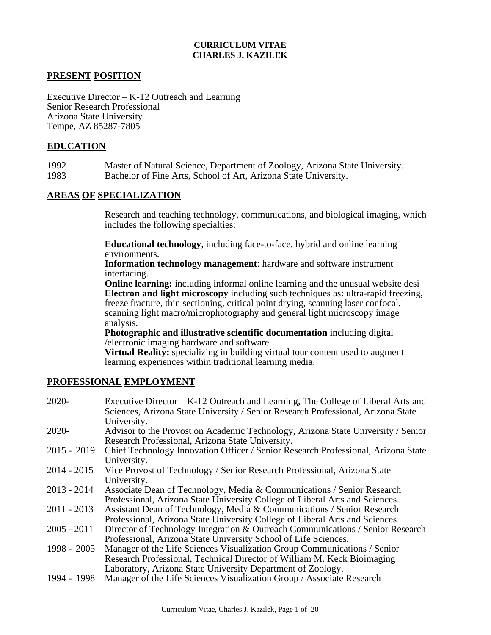## **CURRICULUM VITAE CHARLES J. KAZILEK**

# **PRESENT POSITION**

Executive Director – K-12 Outreach and Learning Senior Research Professional Arizona State University Tempe, AZ 85287-7805

## **EDUCATION**

1992 Master of Natural Science, Department of Zoology, Arizona State University. 1983 Bachelor of Fine Arts, School of Art, Arizona State University.

## **AREAS OF SPECIALIZATION**

Research and teaching technology, communications, and biological imaging, which includes the following specialties:

**Educational technology**, including face-to-face, hybrid and online learning environments.

**Information technology management**: hardware and software instrument interfacing.

**Online learning:** including informal online learning and the unusual website desi **Electron and light microscopy** including such techniques as: ultra-rapid freezing, freeze fracture, thin sectioning, critical point drying, scanning laser confocal, scanning light macro/microphotography and general light microscopy image analysis.

**Photographic and illustrative scientific documentation** including digital /electronic imaging hardware and software.

**Virtual Reality:** specializing in building virtual tour content used to augment learning experiences within traditional learning media.

## **PROFESSIONAL EMPLOYMENT**

| $2020 -$      | Executive Director – K-12 Outreach and Learning, The College of Liberal Arts and  |
|---------------|-----------------------------------------------------------------------------------|
|               | Sciences, Arizona State University / Senior Research Professional, Arizona State  |
|               | University.                                                                       |
| $2020 -$      | Advisor to the Provost on Academic Technology, Arizona State University / Senior  |
|               | Research Professional, Arizona State University.                                  |
| $2015 - 2019$ | Chief Technology Innovation Officer / Senior Research Professional, Arizona State |
|               | University.                                                                       |
| $2014 - 2015$ | Vice Provost of Technology / Senior Research Professional, Arizona State          |
|               | University.                                                                       |
| $2013 - 2014$ | Associate Dean of Technology, Media & Communications / Senior Research            |
|               | Professional, Arizona State University College of Liberal Arts and Sciences.      |
| $2011 - 2013$ | Assistant Dean of Technology, Media & Communications / Senior Research            |
|               | Professional, Arizona State University College of Liberal Arts and Sciences.      |
| $2005 - 2011$ | Director of Technology Integration & Outreach Communications / Senior Research    |
|               | Professional, Arizona State University School of Life Sciences.                   |
| 1998 - 2005   | Manager of the Life Sciences Visualization Group Communications / Senior          |
|               | Research Professional, Technical Director of William M. Keck Bioimaging           |
|               | Laboratory, Arizona State University Department of Zoology.                       |
| 1994 - 1998   | Manager of the Life Sciences Visualization Group / Associate Research             |
|               |                                                                                   |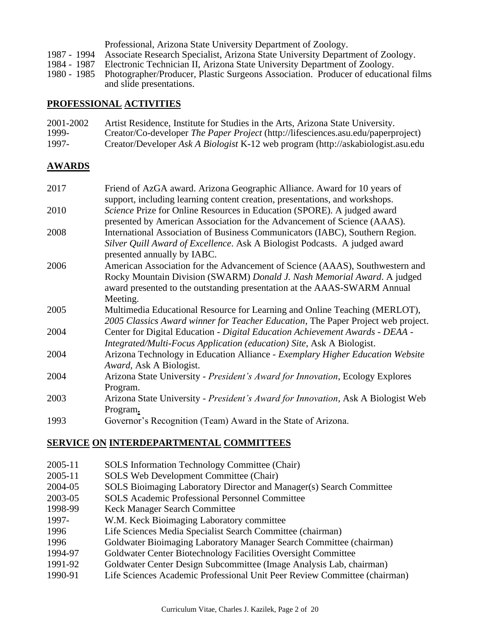|             | Professional, Arizona State University Department of Zoology.                                  |
|-------------|------------------------------------------------------------------------------------------------|
| 1987 - 1994 | Associate Research Specialist, Arizona State University Department of Zoology.                 |
| 1984 - 1987 | Electronic Technician II, Arizona State University Department of Zoology.                      |
|             | 1980 - 1985 Photographer/Producer, Plastic Surgeons Association. Producer of educational films |
|             | and slide presentations.                                                                       |

## **PROFESSIONAL ACTIVITIES**

| 2001-2002 | Artist Residence, Institute for Studies in the Arts, Arizona State University.    |
|-----------|-----------------------------------------------------------------------------------|
| 1999-     | Creator/Co-developer The Paper Project (http://lifesciences.asu.edu/paperproject) |
| 1997-     | Creator/Developer Ask A Biologist K-12 web program (http://askabiologist.asu.edu  |

# **AWARDS**

| 2017 | Friend of AzGA award. Arizona Geographic Alliance. Award for 10 years of                                  |
|------|-----------------------------------------------------------------------------------------------------------|
|      | support, including learning content creation, presentations, and workshops.                               |
| 2010 | Science Prize for Online Resources in Education (SPORE). A judged award                                   |
|      | presented by American Association for the Advancement of Science (AAAS).                                  |
| 2008 | International Association of Business Communicators (IABC), Southern Region.                              |
|      | Silver Quill Award of Excellence. Ask A Biologist Podcasts. A judged award<br>presented annually by IABC. |
| 2006 | American Association for the Advancement of Science (AAAS), Southwestern and                              |
|      | Rocky Mountain Division (SWARM) Donald J. Nash Memorial Award. A judged                                   |
|      | award presented to the outstanding presentation at the AAAS-SWARM Annual                                  |
|      | Meeting.                                                                                                  |
| 2005 | Multimedia Educational Resource for Learning and Online Teaching (MERLOT),                                |
|      | 2005 Classics Award winner for Teacher Education, The Paper Project web project.                          |
| 2004 | Center for Digital Education - Digital Education Achievement Awards - DEAA -                              |
|      | Integrated/Multi-Focus Application (education) Site, Ask A Biologist.                                     |
| 2004 | Arizona Technology in Education Alliance - Exemplary Higher Education Website                             |
|      | Award, Ask A Biologist.                                                                                   |
| 2004 | Arizona State University - President's Award for Innovation, Ecology Explores                             |
|      | Program.                                                                                                  |
| 2003 | Arizona State University - President's Award for Innovation, Ask A Biologist Web                          |
|      | Program.                                                                                                  |
| 1993 | Governor's Recognition (Team) Award in the State of Arizona.                                              |
|      |                                                                                                           |

# **SERVICE ON INTERDEPARTMENTAL COMMITTEES**

- 2005-11 SOLS Information Technology Committee (Chair)
- 2005-11 SOLS Web Development Committee (Chair)
- 2004-05 SOLS Bioimaging Laboratory Director and Manager(s) Search Committee
- 2003-05 SOLS Academic Professional Personnel Committee
- 1998-99 Keck Manager Search Committee
- 1997- W.M. Keck Bioimaging Laboratory committee
- 1996 Life Sciences Media Specialist Search Committee (chairman)
- 1996 Goldwater Bioimaging Laboratory Manager Search Committee (chairman)
- 1994-97 Goldwater Center Biotechnology Facilities Oversight Committee
- 1991-92 Goldwater Center Design Subcommittee (Image Analysis Lab, chairman)
- 1990-91 Life Sciences Academic Professional Unit Peer Review Committee (chairman)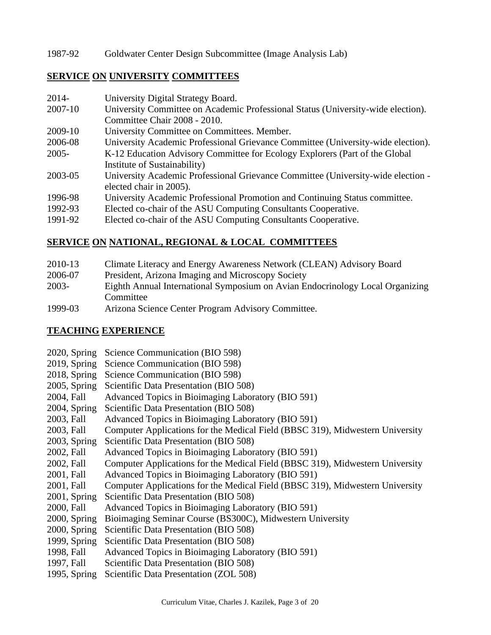# 1987-92 Goldwater Center Design Subcommittee (Image Analysis Lab)

# **SERVICE ON UNIVERSITY COMMITTEES**

| $2014-$  | University Digital Strategy Board.                                                                                                                                                                                                                                                                                               |
|----------|----------------------------------------------------------------------------------------------------------------------------------------------------------------------------------------------------------------------------------------------------------------------------------------------------------------------------------|
| 2007-10  | University Committee on Academic Professional Status (University-wide election).                                                                                                                                                                                                                                                 |
|          | Committee Chair 2008 - 2010.                                                                                                                                                                                                                                                                                                     |
| 2009-10  | University Committee on Committees. Member.                                                                                                                                                                                                                                                                                      |
| 2006-08  | University Academic Professional Grievance Committee (University-wide election).                                                                                                                                                                                                                                                 |
| $2005 -$ | K-12 Education Advisory Committee for Ecology Explorers (Part of the Global                                                                                                                                                                                                                                                      |
|          | Institute of Sustainability)                                                                                                                                                                                                                                                                                                     |
| 2003-05  | University Academic Professional Grievance Committee (University-wide election -                                                                                                                                                                                                                                                 |
|          | elected chair in 2005).                                                                                                                                                                                                                                                                                                          |
| 1996-98  | University Academic Professional Promotion and Continuing Status committee.                                                                                                                                                                                                                                                      |
| 1992-93  | Elected co-chair of the ASU Computing Consultants Cooperative.                                                                                                                                                                                                                                                                   |
| 1001.02  | $\Gamma$ and $\Gamma$ and $\Gamma$ and $\Gamma$ and $\Gamma$ and $\Gamma$ and $\Gamma$ and $\Gamma$ and $\Gamma$ and $\Gamma$ and $\Gamma$ and $\Gamma$ and $\Gamma$ and $\Gamma$ and $\Gamma$ and $\Gamma$ and $\Gamma$ and $\Gamma$ and $\Gamma$ and $\Gamma$ and $\Gamma$ and $\Gamma$ and $\Gamma$ and $\Gamma$ and $\Gamma$ |

1991-92 Elected co-chair of the ASU Computing Consultants Cooperative.

# **SERVICE ON NATIONAL, REGIONAL & LOCAL COMMITTEES**

- 2010-13 Climate Literacy and Energy Awareness Network (CLEAN) Advisory Board
- 2006-07 President, Arizona Imaging and Microscopy Society
- 2003- Eighth Annual International Symposium on Avian Endocrinology Local Organizing Committee
- 1999-03 Arizona Science Center Program Advisory Committee.

# **TEACHING EXPERIENCE**

- 2020, Spring Science Communication (BIO 598)
- 2019, Spring Science Communication (BIO 598)
- 2018, Spring Science Communication (BIO 598)
- 2005, Spring Scientific Data Presentation (BIO 508)
- 2004, Fall Advanced Topics in Bioimaging Laboratory (BIO 591)
- 2004, Spring Scientific Data Presentation (BIO 508)
- 2003, Fall Advanced Topics in Bioimaging Laboratory (BIO 591)
- 2003, Fall Computer Applications for the Medical Field (BBSC 319), Midwestern University
- 2003, Spring Scientific Data Presentation (BIO 508)
- 2002, Fall Advanced Topics in Bioimaging Laboratory (BIO 591)
- 2002, Fall Computer Applications for the Medical Field (BBSC 319), Midwestern University
- 2001, Fall Advanced Topics in Bioimaging Laboratory (BIO 591)
- 2001, Fall Computer Applications for the Medical Field (BBSC 319), Midwestern University
- 2001, Spring Scientific Data Presentation (BIO 508)
- 2000, Fall Advanced Topics in Bioimaging Laboratory (BIO 591)
- 2000, Spring Bioimaging Seminar Course (BS300C), Midwestern University
- 2000, Spring Scientific Data Presentation (BIO 508)
- 1999, Spring Scientific Data Presentation (BIO 508)
- 1998, Fall Advanced Topics in Bioimaging Laboratory (BIO 591)
- 1997, Fall Scientific Data Presentation (BIO 508)
- 1995, Spring Scientific Data Presentation (ZOL 508)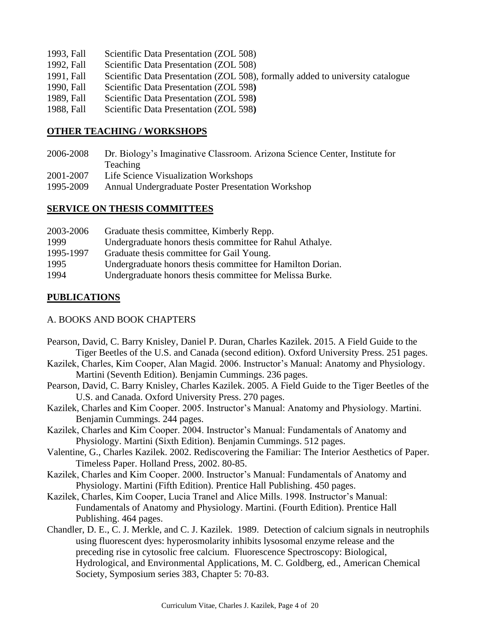- 1993, Fall Scientific Data Presentation (ZOL 508)
- 1992, Fall Scientific Data Presentation (ZOL 508)
- 1991, Fall Scientific Data Presentation (ZOL 508), formally added to university catalogue
- 1990, Fall Scientific Data Presentation (ZOL 598**)**
- 1989, Fall Scientific Data Presentation (ZOL 598**)**
- 1988, Fall Scientific Data Presentation (ZOL 598**)**

# **OTHER TEACHING / WORKSHOPS**

- 2006-2008 Dr. Biology's Imaginative Classroom. Arizona Science Center, Institute for Teaching
- 2001-2007 Life Science Visualization Workshops
- 1995-2009 Annual Undergraduate Poster Presentation Workshop

# **SERVICE ON THESIS COMMITTEES**

| 2003-2006 | Graduate thesis committee, Kimberly Repp.                  |
|-----------|------------------------------------------------------------|
| 1999      | Undergraduate honors thesis committee for Rahul Athalye.   |
| 1995-1997 | Graduate thesis committee for Gail Young.                  |
| 1995      | Undergraduate honors thesis committee for Hamilton Dorian. |
| 1994      | Undergraduate honors thesis committee for Melissa Burke.   |

# **PUBLICATIONS**

# A. BOOKS AND BOOK CHAPTERS

- Pearson, David, C. Barry Knisley, Daniel P. Duran, Charles Kazilek. 2015. A Field Guide to the Tiger Beetles of the U.S. and Canada (second edition). Oxford University Press. 251 pages.
- Kazilek, Charles, Kim Cooper, Alan Magid. 2006. Instructor's Manual: Anatomy and Physiology. Martini (Seventh Edition). Benjamin Cummings. 236 pages.
- Pearson, David, C. Barry Knisley, Charles Kazilek. 2005. A Field Guide to the Tiger Beetles of the U.S. and Canada. Oxford University Press. 270 pages.
- Kazilek, Charles and Kim Cooper. 2005. Instructor's Manual: Anatomy and Physiology. Martini. Benjamin Cummings. 244 pages.
- Kazilek, Charles and Kim Cooper. 2004. Instructor's Manual: Fundamentals of Anatomy and Physiology. Martini (Sixth Edition). Benjamin Cummings. 512 pages.
- Valentine, G., Charles Kazilek. 2002. Rediscovering the Familiar: The Interior Aesthetics of Paper. Timeless Paper. Holland Press, 2002. 80-85.
- Kazilek, Charles and Kim Cooper. 2000. Instructor's Manual: Fundamentals of Anatomy and Physiology. Martini (Fifth Edition). Prentice Hall Publishing. 450 pages.
- Kazilek, Charles, Kim Cooper, Lucia Tranel and Alice Mills. 1998. Instructor's Manual: Fundamentals of Anatomy and Physiology. Martini. (Fourth Edition). Prentice Hall Publishing. 464 pages.
- Chandler, D. E., C. J. Merkle, and C. J. Kazilek. 1989. Detection of calcium signals in neutrophils using fluorescent dyes: hyperosmolarity inhibits lysosomal enzyme release and the preceding rise in cytosolic free calcium. Fluorescence Spectroscopy: Biological, Hydrological, and Environmental Applications, M. C. Goldberg, ed., American Chemical Society, Symposium series 383, Chapter 5: 70-83.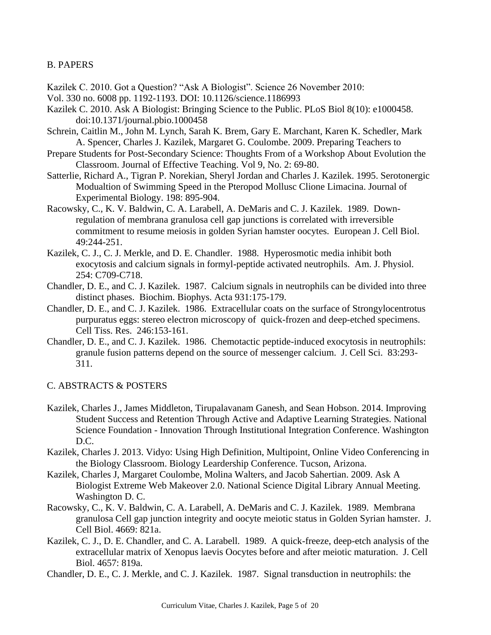# B. PAPERS

Kazilek C. 2010. Got a Question? "Ask A Biologist". Science 26 November 2010:

- Vol. 330 no. 6008 pp. 1192-1193. DOI: 10.1126/science.1186993
- Kazilek C. 2010. Ask A Biologist: Bringing Science to the Public. PLoS Biol 8(10): e1000458. doi:10.1371/journal.pbio.1000458
- Schrein, Caitlin M., John M. Lynch, Sarah K. Brem, Gary E. Marchant, Karen K. Schedler, Mark A. Spencer, Charles J. Kazilek, Margaret G. Coulombe. 2009. Preparing Teachers to
- Prepare Students for Post-Secondary Science: Thoughts From of a Workshop About Evolution the Classroom. Journal of Effective Teaching. Vol 9, No. 2: 69-80.
- Satterlie, Richard A., Tigran P. Norekian, Sheryl Jordan and Charles J. Kazilek. 1995. Serotonergic Modualtion of Swimming Speed in the Pteropod Mollusc Clione Limacina. Journal of Experimental Biology. 198: 895-904.
- Racowsky, C., K. V. Baldwin, C. A. Larabell, A. DeMaris and C. J. Kazilek. 1989. Downregulation of membrana granulosa cell gap junctions is correlated with irreversible commitment to resume meiosis in golden Syrian hamster oocytes. European J. Cell Biol. 49:244-251.
- Kazilek, C. J., C. J. Merkle, and D. E. Chandler. 1988. Hyperosmotic media inhibit both exocytosis and calcium signals in formyl-peptide activated neutrophils. Am. J. Physiol. 254: C709-C718.
- Chandler, D. E., and C. J. Kazilek. 1987. Calcium signals in neutrophils can be divided into three distinct phases. Biochim. Biophys. Acta 931:175-179.
- Chandler, D. E., and C. J. Kazilek. 1986. Extracellular coats on the surface of Strongylocentrotus purpuratus eggs: stereo electron microscopy of quick-frozen and deep-etched specimens. Cell Tiss. Res. 246:153-161.
- Chandler, D. E., and C. J. Kazilek. 1986. Chemotactic peptide-induced exocytosis in neutrophils: granule fusion patterns depend on the source of messenger calcium. J. Cell Sci. 83:293- 311.

## C. ABSTRACTS & POSTERS

- Kazilek, Charles J., James Middleton, Tirupalavanam Ganesh, and Sean Hobson. 2014. Improving Student Success and Retention Through Active and Adaptive Learning Strategies. National Science Foundation - Innovation Through Institutional Integration Conference. Washington D.C.
- Kazilek, Charles J. 2013. Vidyo: Using High Definition, Multipoint, Online Video Conferencing in the Biology Classroom. Biology Leardership Conference. Tucson, Arizona.
- Kazilek, Charles J, Margaret Coulombe, Molina Walters, and Jacob Sahertian. 2009. Ask A Biologist Extreme Web Makeover 2.0. National Science Digital Library Annual Meeting. Washington D. C.
- Racowsky, C., K. V. Baldwin, C. A. Larabell, A. DeMaris and C. J. Kazilek. 1989. Membrana granulosa Cell gap junction integrity and oocyte meiotic status in Golden Syrian hamster. J. Cell Biol. 4669: 821a.
- Kazilek, C. J., D. E. Chandler, and C. A. Larabell. 1989. A quick-freeze, deep-etch analysis of the extracellular matrix of Xenopus laevis Oocytes before and after meiotic maturation. J. Cell Biol. 4657: 819a.
- Chandler, D. E., C. J. Merkle, and C. J. Kazilek. 1987. Signal transduction in neutrophils: the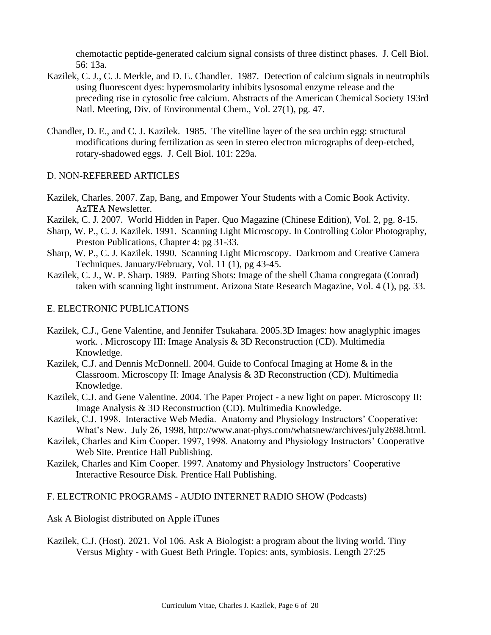chemotactic peptide-generated calcium signal consists of three distinct phases. J. Cell Biol. 56: 13a.

- Kazilek, C. J., C. J. Merkle, and D. E. Chandler. 1987. Detection of calcium signals in neutrophils using fluorescent dyes: hyperosmolarity inhibits lysosomal enzyme release and the preceding rise in cytosolic free calcium. Abstracts of the American Chemical Society 193rd Natl. Meeting, Div. of Environmental Chem., Vol. 27(1), pg. 47.
- Chandler, D. E., and C. J. Kazilek. 1985. The vitelline layer of the sea urchin egg: structural modifications during fertilization as seen in stereo electron micrographs of deep-etched, rotary-shadowed eggs. J. Cell Biol. 101: 229a.

#### D. NON-REFEREED ARTICLES

- Kazilek, Charles. 2007. Zap, Bang, and Empower Your Students with a Comic Book Activity. AzTEA Newsletter.
- Kazilek, C. J. 2007. World Hidden in Paper. Quo Magazine (Chinese Edition), Vol. 2, pg. 8-15.
- Sharp, W. P., C. J. Kazilek. 1991. Scanning Light Microscopy. In Controlling Color Photography, Preston Publications, Chapter 4: pg 31-33.
- Sharp, W. P., C. J. Kazilek. 1990. Scanning Light Microscopy. Darkroom and Creative Camera Techniques. January/February, Vol. 11 (1), pg 43-45.
- Kazilek, C. J., W. P. Sharp. 1989. Parting Shots: Image of the shell Chama congregata (Conrad) taken with scanning light instrument. Arizona State Research Magazine, Vol. 4 (1), pg. 33.

#### E. ELECTRONIC PUBLICATIONS

- Kazilek, C.J., Gene Valentine, and Jennifer Tsukahara. 2005.3D Images: how anaglyphic images work. . Microscopy III: Image Analysis & 3D Reconstruction (CD). Multimedia Knowledge.
- Kazilek, C.J. and Dennis McDonnell. 2004. Guide to Confocal Imaging at Home & in the Classroom. Microscopy II: Image Analysis & 3D Reconstruction (CD). Multimedia Knowledge.
- Kazilek, C.J. and Gene Valentine. 2004. The Paper Project a new light on paper. Microscopy II: Image Analysis & 3D Reconstruction (CD). Multimedia Knowledge.
- Kazilek, C.J. 1998. Interactive Web Media. Anatomy and Physiology Instructors' Cooperative: What's New. July 26, 1998, http://www.anat-phys.com/whatsnew/archives/july2698.html.
- Kazilek, Charles and Kim Cooper. 1997, 1998. Anatomy and Physiology Instructors' Cooperative Web Site. Prentice Hall Publishing.
- Kazilek, Charles and Kim Cooper. 1997. Anatomy and Physiology Instructors' Cooperative Interactive Resource Disk. Prentice Hall Publishing.

#### F. ELECTRONIC PROGRAMS - AUDIO INTERNET RADIO SHOW (Podcasts)

Ask A Biologist distributed on Apple iTunes

Kazilek, C.J. (Host). 2021. Vol 106. Ask A Biologist: a program about the living world. Tiny Versus Mighty - with Guest Beth Pringle. Topics: ants, symbiosis. Length 27:25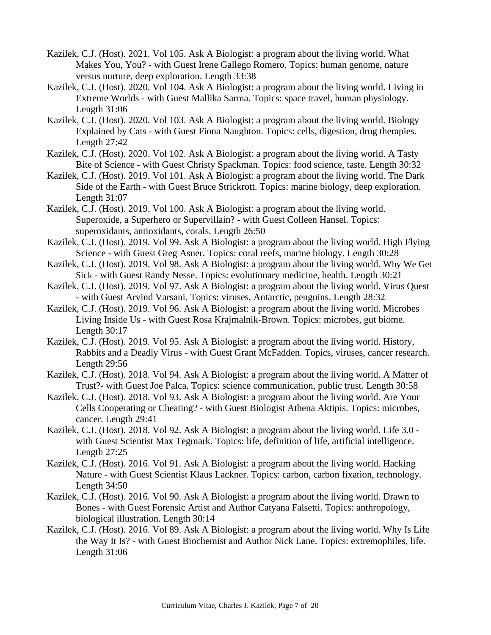- Kazilek, C.J. (Host). 2021. Vol 105. Ask A Biologist: a program about the living world. What Makes You, You? - with Guest Irene Gallego Romero. Topics: human genome, nature versus nurture, deep exploration. Length 33:38
- Kazilek, C.J. (Host). 2020. Vol 104. Ask A Biologist: a program about the living world. Living in Extreme Worlds - with Guest Mallika Sarma. Topics: space travel, human physiology. Length 31:06
- Kazilek, C.J. (Host). 2020. Vol 103. Ask A Biologist: a program about the living world. Biology Explained by Cats - with Guest Fiona Naughton. Topics: cells, digestion, drug therapies. Length 27:42
- Kazilek, C.J. (Host). 2020. Vol 102. Ask A Biologist: a program about the living world. A Tasty Bite of Science - with Guest Christy Spackman. Topics: food science, taste. Length 30:32
- Kazilek, C.J. (Host). 2019. Vol 101. Ask A Biologist: a program about the living world. The Dark Side of the Earth - with Guest Bruce Strickrott. Topics: marine biology, deep exploration. Length 31:07
- Kazilek, C.J. (Host). 2019. Vol 100. Ask A Biologist: a program about the living world. Superoxide, a Superhero or Supervillain? - with Guest Colleen Hansel. Topics: superoxidants, antioxidants, corals. Length 26:50
- Kazilek, C.J. (Host). 2019. Vol 99. Ask A Biologist: a program about the living world. High Flying Science - with Guest Greg Asner. Topics: coral reefs, marine biology. Length 30:28
- Kazilek, C.J. (Host). 2019. Vol 98. Ask A Biologist: a program about the living world. Why We Get Sick - with Guest Randy Nesse. Topics: evolutionary medicine, health. Length 30:21
- Kazilek, C.J. (Host). 2019. Vol 97. Ask A Biologist: a program about the living world. Virus Quest - with Guest Arvind Varsani. Topics: viruses, Antarctic, penguins. Length 28:32
- Kazilek, C.J. (Host). 2019. Vol 96. Ask A Biologist: a program about the living world. Microbes Living Inside Us - with Guest Rosa Krajmalnik-Brown. Topics: microbes, gut biome. Length 30:17
- Kazilek, C.J. (Host). 2019. Vol 95. Ask A Biologist: a program about the living world. History, Rabbits and a Deadly Virus - with Guest Grant McFadden. Topics, viruses, cancer research. Length 29:56
- Kazilek, C.J. (Host). 2018. Vol 94. Ask A Biologist: a program about the living world. A Matter of Trust?- with Guest Joe Palca. Topics: science communication, public trust. Length 30:58
- Kazilek, C.J. (Host). 2018. Vol 93. Ask A Biologist: a program about the living world. Are Your Cells Cooperating or Cheating? - with Guest Biologist Athena Aktipis. Topics: microbes, cancer. Length 29:41
- Kazilek, C.J. (Host). 2018. Vol 92. Ask A Biologist: a program about the living world. Life 3.0 with Guest Scientist Max Tegmark. Topics: life, definition of life, artificial intelligence. Length 27:25
- Kazilek, C.J. (Host). 2016. Vol 91. Ask A Biologist: a program about the living world. Hacking Nature - with Guest Scientist Klaus Lackner. Topics: carbon, carbon fixation, technology. Length 34:50
- Kazilek, C.J. (Host). 2016. Vol 90. Ask A Biologist: a program about the living world. Drawn to Bones - with Guest Forensic Artist and Author Catyana Falsetti. Topics: anthropology, biological illustration. Length 30:14
- Kazilek, C.J. (Host). 2016. Vol 89. Ask A Biologist: a program about the living world. Why Is Life the Way It Is? - with Guest Biochemist and Author Nick Lane. Topics: extremophiles, life. Length 31:06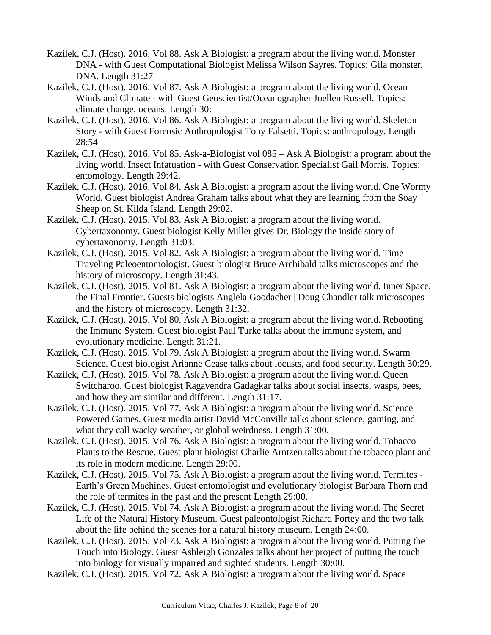- Kazilek, C.J. (Host). 2016. Vol 88. Ask A Biologist: a program about the living world. Monster DNA - with Guest Computational Biologist Melissa Wilson Sayres. Topics: Gila monster, DNA. Length 31:27
- Kazilek, C.J. (Host). 2016. Vol 87. Ask A Biologist: a program about the living world. Ocean Winds and Climate - with Guest Geoscientist/Oceanographer Joellen Russell. Topics: climate change, oceans. Length 30:
- Kazilek, C.J. (Host). 2016. Vol 86. Ask A Biologist: a program about the living world. Skeleton Story - with Guest Forensic Anthropologist Tony Falsetti. Topics: anthropology. Length 28:54
- Kazilek, C.J. (Host). 2016. Vol 85. Ask-a-Biologist vol 085 Ask A Biologist: a program about the living world. Insect Infatuation - with Guest Conservation Specialist Gail Morris. Topics: entomology. Length 29:42.
- Kazilek, C.J. (Host). 2016. Vol 84. Ask A Biologist: a program about the living world. One Wormy World. Guest biologist Andrea Graham talks about what they are learning from the Soay Sheep on St. Kilda Island. Length 29:02.
- Kazilek, C.J. (Host). 2015. Vol 83. Ask A Biologist: a program about the living world. Cybertaxonomy. Guest biologist Kelly Miller gives Dr. Biology the inside story of cybertaxonomy. Length 31:03.
- Kazilek, C.J. (Host). 2015. Vol 82. Ask A Biologist: a program about the living world. Time Traveling Paleoentomologist. Guest biologist Bruce Archibald talks microscopes and the history of microscopy. Length 31:43.
- Kazilek, C.J. (Host). 2015. Vol 81. Ask A Biologist: a program about the living world. Inner Space, the Final Frontier. Guests biologists Anglela Goodacher | Doug Chandler talk microscopes and the history of microscopy. Length 31:32.
- Kazilek, C.J. (Host). 2015. Vol 80. Ask A Biologist: a program about the living world. Rebooting the Immune System. Guest biologist Paul Turke talks about the immune system, and evolutionary medicine. Length 31:21.
- Kazilek, C.J. (Host). 2015. Vol 79. Ask A Biologist: a program about the living world. Swarm Science. Guest biologist Arianne Cease talks about locusts, and food security. Length 30:29.
- Kazilek, C.J. (Host). 2015. Vol 78. Ask A Biologist: a program about the living world. Queen Switcharoo. Guest biologist Ragavendra Gadagkar talks about social insects, wasps, bees, and how they are similar and different. Length 31:17.
- Kazilek, C.J. (Host). 2015. Vol 77. Ask A Biologist: a program about the living world. Science Powered Games. Guest media artist David McConville talks about science, gaming, and what they call wacky weather, or global weirdness. Length 31:00.
- Kazilek, C.J. (Host). 2015. Vol 76. Ask A Biologist: a program about the living world. Tobacco Plants to the Rescue. Guest plant biologist Charlie Arntzen talks about the tobacco plant and its role in modern medicine. Length 29:00.
- Kazilek, C.J. (Host). 2015. Vol 75. Ask A Biologist: a program about the living world. Termites Earth's Green Machines. Guest entomologist and evolutionary biologist Barbara Thorn and the role of termites in the past and the present Length 29:00.
- Kazilek, C.J. (Host). 2015. Vol 74. Ask A Biologist: a program about the living world. The Secret Life of the Natural History Museum. Guest paleontologist Richard Fortey and the two talk about the life behind the scenes for a natural history museum. Length 24:00.
- Kazilek, C.J. (Host). 2015. Vol 73. Ask A Biologist: a program about the living world. Putting the Touch into Biology. Guest Ashleigh Gonzales talks about her project of putting the touch into biology for visually impaired and sighted students. Length 30:00.
- Kazilek, C.J. (Host). 2015. Vol 72. Ask A Biologist: a program about the living world. Space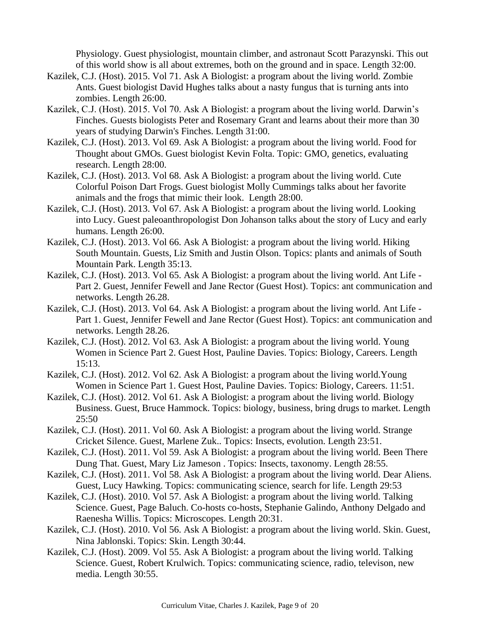Physiology. Guest physiologist, mountain climber, and astronaut Scott Parazynski. This out of this world show is all about extremes, both on the ground and in space. Length 32:00.

- Kazilek, C.J. (Host). 2015. Vol 71. Ask A Biologist: a program about the living world. Zombie Ants. Guest biologist David Hughes talks about a nasty fungus that is turning ants into zombies. Length 26:00.
- Kazilek, C.J. (Host). 2015. Vol 70. Ask A Biologist: a program about the living world. Darwin's Finches. Guests biologists Peter and Rosemary Grant and learns about their more than 30 years of studying Darwin's Finches. Length 31:00.
- Kazilek, C.J. (Host). 2013. Vol 69. Ask A Biologist: a program about the living world. Food for Thought about GMOs. Guest biologist Kevin Folta. Topic: GMO, genetics, evaluating research. Length 28:00.
- Kazilek, C.J. (Host). 2013. Vol 68. Ask A Biologist: a program about the living world. Cute Colorful Poison Dart Frogs. Guest biologist Molly Cummings talks about her favorite animals and the frogs that mimic their look. Length 28:00.
- Kazilek, C.J. (Host). 2013. Vol 67. Ask A Biologist: a program about the living world. Looking into Lucy. Guest paleoanthropologist Don Johanson talks about the story of Lucy and early humans. Length 26:00.
- Kazilek, C.J. (Host). 2013. Vol 66. Ask A Biologist: a program about the living world. Hiking South Mountain. Guests, Liz Smith and Justin Olson. Topics: plants and animals of South Mountain Park. Length 35:13.
- Kazilek, C.J. (Host). 2013. Vol 65. Ask A Biologist: a program about the living world. Ant Life Part 2. Guest, Jennifer Fewell and Jane Rector (Guest Host). Topics: ant communication and networks. Length 26.28.
- Kazilek, C.J. (Host). 2013. Vol 64. Ask A Biologist: a program about the living world. Ant Life Part 1. Guest, Jennifer Fewell and Jane Rector (Guest Host). Topics: ant communication and networks. Length 28.26.
- Kazilek, C.J. (Host). 2012. Vol 63. Ask A Biologist: a program about the living world. Young Women in Science Part 2. Guest Host, Pauline Davies. Topics: Biology, Careers. Length 15:13.
- Kazilek, C.J. (Host). 2012. Vol 62. Ask A Biologist: a program about the living world.Young Women in Science Part 1. Guest Host, Pauline Davies. Topics: Biology, Careers. 11:51.
- Kazilek, C.J. (Host). 2012. Vol 61. Ask A Biologist: a program about the living world. Biology Business. Guest, Bruce Hammock. Topics: biology, business, bring drugs to market. Length 25:50
- Kazilek, C.J. (Host). 2011. Vol 60. Ask A Biologist: a program about the living world. Strange Cricket Silence. Guest, Marlene Zuk.. Topics: Insects, evolution. Length 23:51.
- Kazilek, C.J. (Host). 2011. Vol 59. Ask A Biologist: a program about the living world. Been There Dung That. Guest, Mary Liz Jameson . Topics: Insects, taxonomy. Length 28:55.
- Kazilek, C.J. (Host). 2011. Vol 58. Ask A Biologist: a program about the living world. Dear Aliens. Guest, Lucy Hawking. Topics: communicating science, search for life. Length 29:53
- Kazilek, C.J. (Host). 2010. Vol 57. Ask A Biologist: a program about the living world. Talking Science. Guest, Page Baluch. Co-hosts co-hosts, Stephanie Galindo, Anthony Delgado and Raenesha Willis. Topics: Microscopes. Length 20:31.
- Kazilek, C.J. (Host). 2010. Vol 56. Ask A Biologist: a program about the living world. Skin. Guest, Nina Jablonski. Topics: Skin. Length 30:44.
- Kazilek, C.J. (Host). 2009. Vol 55. Ask A Biologist: a program about the living world. Talking Science. Guest, Robert Krulwich. Topics: communicating science, radio, televison, new media. Length 30:55.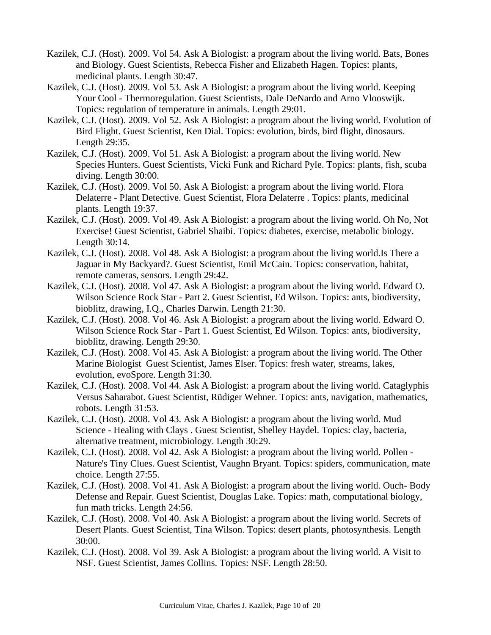- Kazilek, C.J. (Host). 2009. Vol 54. Ask A Biologist: a program about the living world. Bats, Bones and Biology. Guest Scientists, Rebecca Fisher and Elizabeth Hagen. Topics: plants, medicinal plants. Length 30:47.
- Kazilek, C.J. (Host). 2009. Vol 53. Ask A Biologist: a program about the living world. Keeping Your Cool - Thermoregulation. Guest Scientists, Dale DeNardo and Arno Vlooswijk. Topics: regulation of temperature in animals. Length 29:01.
- Kazilek, C.J. (Host). 2009. Vol 52. Ask A Biologist: a program about the living world. Evolution of Bird Flight. Guest Scientist, Ken Dial. Topics: evolution, birds, bird flight, dinosaurs. Length 29:35.
- Kazilek, C.J. (Host). 2009. Vol 51. Ask A Biologist: a program about the living world. New Species Hunters. Guest Scientists, Vicki Funk and Richard Pyle. Topics: plants, fish, scuba diving. Length 30:00.
- Kazilek, C.J. (Host). 2009. Vol 50. Ask A Biologist: a program about the living world. Flora Delaterre - Plant Detective. Guest Scientist, Flora Delaterre . Topics: plants, medicinal plants. Length 19:37.
- Kazilek, C.J. (Host). 2009. Vol 49. Ask A Biologist: a program about the living world. Oh No, Not Exercise! Guest Scientist, Gabriel Shaibi. Topics: diabetes, exercise, metabolic biology. Length 30:14.
- Kazilek, C.J. (Host). 2008. Vol 48. Ask A Biologist: a program about the living world.Is There a Jaguar in My Backyard?. Guest Scientist, Emil McCain. Topics: conservation, habitat, remote cameras, sensors. Length 29:42.
- Kazilek, C.J. (Host). 2008. Vol 47. Ask A Biologist: a program about the living world. Edward O. Wilson Science Rock Star - Part 2. Guest Scientist, Ed Wilson. Topics: ants, biodiversity, bioblitz, drawing, I.Q., Charles Darwin. Length 21:30.
- Kazilek, C.J. (Host). 2008. Vol 46. Ask A Biologist: a program about the living world. Edward O. Wilson Science Rock Star - Part 1. Guest Scientist, Ed Wilson. Topics: ants, biodiversity, bioblitz, drawing. Length 29:30.
- Kazilek, C.J. (Host). 2008. Vol 45. Ask A Biologist: a program about the living world. The Other Marine Biologist Guest Scientist, James Elser. Topics: fresh water, streams, lakes, evolution, evoSpore. Length 31:30.
- Kazilek, C.J. (Host). 2008. Vol 44. Ask A Biologist: a program about the living world. Cataglyphis Versus Saharabot. Guest Scientist, Rüdiger Wehner. Topics: ants, navigation, mathematics, robots. Length 31:53.
- Kazilek, C.J. (Host). 2008. Vol 43. Ask A Biologist: a program about the living world. Mud Science - Healing with Clays . Guest Scientist, Shelley Haydel. Topics: clay, bacteria, alternative treatment, microbiology. Length 30:29.
- Kazilek, C.J. (Host). 2008. Vol 42. Ask A Biologist: a program about the living world. Pollen Nature's Tiny Clues. Guest Scientist, Vaughn Bryant. Topics: spiders, communication, mate choice. Length 27:55.
- Kazilek, C.J. (Host). 2008. Vol 41. Ask A Biologist: a program about the living world. Ouch- Body Defense and Repair. Guest Scientist, Douglas Lake. Topics: math, computational biology, fun math tricks. Length 24:56.
- Kazilek, C.J. (Host). 2008. Vol 40. Ask A Biologist: a program about the living world. Secrets of Desert Plants. Guest Scientist, Tina Wilson. Topics: desert plants, photosynthesis. Length 30:00.
- Kazilek, C.J. (Host). 2008. Vol 39. Ask A Biologist: a program about the living world. A Visit to NSF. Guest Scientist, James Collins. Topics: NSF. Length 28:50.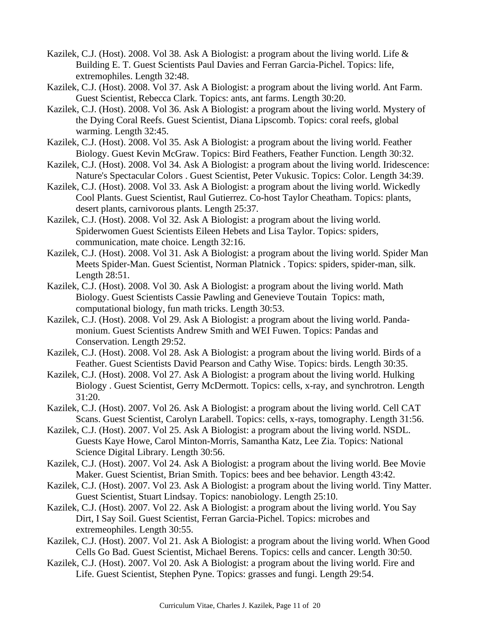- Kazilek, C.J. (Host). 2008. Vol 38. Ask A Biologist: a program about the living world. Life & Building E. T. Guest Scientists Paul Davies and Ferran Garcia-Pichel. Topics: life, extremophiles. Length 32:48.
- Kazilek, C.J. (Host). 2008. Vol 37. Ask A Biologist: a program about the living world. Ant Farm. Guest Scientist, Rebecca Clark. Topics: ants, ant farms. Length 30:20.
- Kazilek, C.J. (Host). 2008. Vol 36. Ask A Biologist: a program about the living world. Mystery of the Dying Coral Reefs. Guest Scientist, Diana Lipscomb. Topics: coral reefs, global warming. Length 32:45.
- Kazilek, C.J. (Host). 2008. Vol 35. Ask A Biologist: a program about the living world. Feather Biology. Guest Kevin McGraw. Topics: Bird Feathers, Feather Function. Length 30:32.
- Kazilek, C.J. (Host). 2008. Vol 34. Ask A Biologist: a program about the living world. Iridescence: Nature's Spectacular Colors . Guest Scientist, Peter Vukusic. Topics: Color. Length 34:39.
- Kazilek, C.J. (Host). 2008. Vol 33. Ask A Biologist: a program about the living world. Wickedly Cool Plants. Guest Scientist, Raul Gutierrez. Co-host Taylor Cheatham. Topics: plants, desert plants, carnivorous plants. Length 25:37.
- Kazilek, C.J. (Host). 2008. Vol 32. Ask A Biologist: a program about the living world. Spiderwomen Guest Scientists Eileen Hebets and Lisa Taylor. Topics: spiders, communication, mate choice. Length 32:16.
- Kazilek, C.J. (Host). 2008. Vol 31. Ask A Biologist: a program about the living world. Spider Man Meets Spider-Man. Guest Scientist, Norman Platnick . Topics: spiders, spider-man, silk. Length 28:51.
- Kazilek, C.J. (Host). 2008. Vol 30. Ask A Biologist: a program about the living world. Math Biology. Guest Scientists Cassie Pawling and Genevieve Toutain Topics: math, computational biology, fun math tricks. Length 30:53.
- Kazilek, C.J. (Host). 2008. Vol 29. Ask A Biologist: a program about the living world. Pandamonium. Guest Scientists Andrew Smith and WEI Fuwen. Topics: Pandas and Conservation. Length 29:52.
- Kazilek, C.J. (Host). 2008. Vol 28. Ask A Biologist: a program about the living world. Birds of a Feather. Guest Scientists David Pearson and Cathy Wise. Topics: birds. Length 30:35.
- Kazilek, C.J. (Host). 2008. Vol 27. Ask A Biologist: a program about the living world. Hulking Biology . Guest Scientist, Gerry McDermott. Topics: cells, x-ray, and synchrotron. Length 31:20.
- Kazilek, C.J. (Host). 2007. Vol 26. Ask A Biologist: a program about the living world. Cell CAT Scans. Guest Scientist, Carolyn Larabell. Topics: cells, x-rays, tomography. Length 31:56.
- Kazilek, C.J. (Host). 2007. Vol 25. Ask A Biologist: a program about the living world. NSDL. Guests Kaye Howe, Carol Minton-Morris, Samantha Katz, Lee Zia. Topics: National Science Digital Library. Length 30:56.
- Kazilek, C.J. (Host). 2007. Vol 24. Ask A Biologist: a program about the living world. Bee Movie Maker. Guest Scientist, Brian Smith. Topics: bees and bee behavior. Length 43:42.
- Kazilek, C.J. (Host). 2007. Vol 23. Ask A Biologist: a program about the living world. Tiny Matter. Guest Scientist, Stuart Lindsay. Topics: nanobiology. Length 25:10.
- Kazilek, C.J. (Host). 2007. Vol 22. Ask A Biologist: a program about the living world. You Say Dirt, I Say Soil. Guest Scientist, Ferran Garcia-Pichel. Topics: microbes and extremeophiles. Length 30:55.
- Kazilek, C.J. (Host). 2007. Vol 21. Ask A Biologist: a program about the living world. When Good Cells Go Bad. Guest Scientist, Michael Berens. Topics: cells and cancer. Length 30:50.
- Kazilek, C.J. (Host). 2007. Vol 20. Ask A Biologist: a program about the living world. Fire and Life. Guest Scientist, Stephen Pyne. Topics: grasses and fungi. Length 29:54.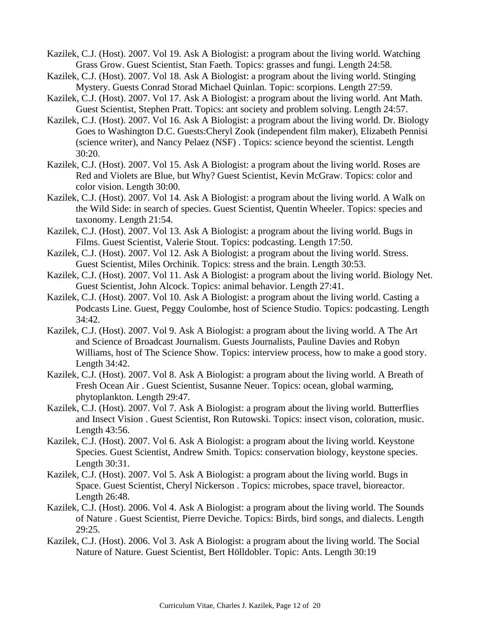- Kazilek, C.J. (Host). 2007. Vol 19. Ask A Biologist: a program about the living world. Watching Grass Grow. Guest Scientist, Stan Faeth. Topics: grasses and fungi. Length 24:58.
- Kazilek, C.J. (Host). 2007. Vol 18. Ask A Biologist: a program about the living world. Stinging Mystery. Guests Conrad Storad Michael Quinlan. Topic: scorpions. Length 27:59.
- Kazilek, C.J. (Host). 2007. Vol 17. Ask A Biologist: a program about the living world. Ant Math. Guest Scientist, Stephen Pratt. Topics: ant society and problem solving. Length 24:57.
- Kazilek, C.J. (Host). 2007. Vol 16. Ask A Biologist: a program about the living world. Dr. Biology Goes to Washington D.C. Guests:Cheryl Zook (independent film maker), Elizabeth Pennisi (science writer), and Nancy Pelaez (NSF) . Topics: science beyond the scientist. Length 30:20.
- Kazilek, C.J. (Host). 2007. Vol 15. Ask A Biologist: a program about the living world. Roses are Red and Violets are Blue, but Why? Guest Scientist, Kevin McGraw. Topics: color and color vision. Length 30:00.
- Kazilek, C.J. (Host). 2007. Vol 14. Ask A Biologist: a program about the living world. A Walk on the Wild Side: in search of species. Guest Scientist, Quentin Wheeler. Topics: species and taxonomy. Length 21:54.
- Kazilek, C.J. (Host). 2007. Vol 13. Ask A Biologist: a program about the living world. Bugs in Films. Guest Scientist, Valerie Stout. Topics: podcasting. Length 17:50.
- Kazilek, C.J. (Host). 2007. Vol 12. Ask A Biologist: a program about the living world. Stress. Guest Scientist, Miles Orchinik. Topics: stress and the brain. Length 30:53.
- Kazilek, C.J. (Host). 2007. Vol 11. Ask A Biologist: a program about the living world. Biology Net. Guest Scientist, John Alcock. Topics: animal behavior. Length 27:41.
- Kazilek, C.J. (Host). 2007. Vol 10. Ask A Biologist: a program about the living world. Casting a Podcasts Line. Guest, Peggy Coulombe, host of Science Studio. Topics: podcasting. Length 34:42.
- Kazilek, C.J. (Host). 2007. Vol 9. Ask A Biologist: a program about the living world. A The Art and Science of Broadcast Journalism. Guests Journalists, Pauline Davies and Robyn Williams, host of The Science Show. Topics: interview process, how to make a good story. Length 34:42.
- Kazilek, C.J. (Host). 2007. Vol 8. Ask A Biologist: a program about the living world. A Breath of Fresh Ocean Air . Guest Scientist, Susanne Neuer. Topics: ocean, global warming, phytoplankton. Length 29:47.
- Kazilek, C.J. (Host). 2007. Vol 7. Ask A Biologist: a program about the living world. Butterflies and Insect Vision . Guest Scientist, Ron Rutowski. Topics: insect vison, coloration, music. Length 43:56.
- Kazilek, C.J. (Host). 2007. Vol 6. Ask A Biologist: a program about the living world. Keystone Species. Guest Scientist, Andrew Smith. Topics: conservation biology, keystone species. Length 30:31.
- Kazilek, C.J. (Host). 2007. Vol 5. Ask A Biologist: a program about the living world. Bugs in Space. Guest Scientist, Cheryl Nickerson . Topics: microbes, space travel, bioreactor. Length 26:48.
- Kazilek, C.J. (Host). 2006. Vol 4. Ask A Biologist: a program about the living world. The Sounds of Nature . Guest Scientist, Pierre Deviche. Topics: Birds, bird songs, and dialects. Length 29:25.
- Kazilek, C.J. (Host). 2006. Vol 3. Ask A Biologist: a program about the living world. The Social Nature of Nature. Guest Scientist, Bert Hölldobler. Topic: Ants. Length 30:19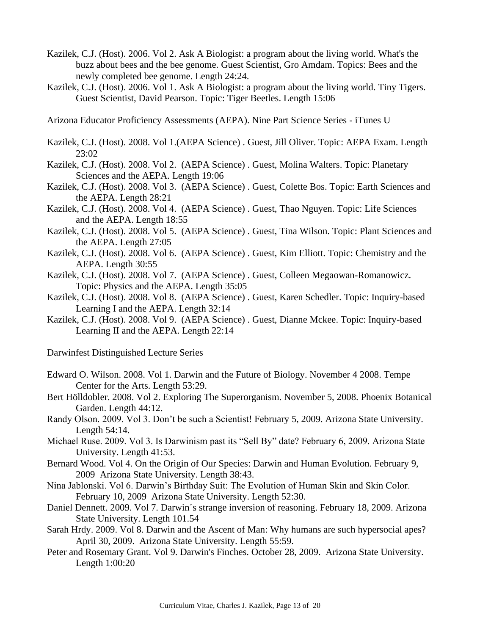- Kazilek, C.J. (Host). 2006. Vol 2. Ask A Biologist: a program about the living world. What's the buzz about bees and the bee genome. Guest Scientist, Gro Amdam. Topics: Bees and the newly completed bee genome. Length 24:24.
- Kazilek, C.J. (Host). 2006. Vol 1. Ask A Biologist: a program about the living world. Tiny Tigers. Guest Scientist, David Pearson. Topic: Tiger Beetles. Length 15:06

Arizona Educator Proficiency Assessments (AEPA). Nine Part Science Series - iTunes U

- Kazilek, C.J. (Host). 2008. Vol 1.(AEPA Science) . Guest, Jill Oliver. Topic: AEPA Exam. Length 23:02
- Kazilek, C.J. (Host). 2008. Vol 2. (AEPA Science) . Guest, Molina Walters. Topic: Planetary Sciences and the AEPA. Length 19:06
- Kazilek, C.J. (Host). 2008. Vol 3. (AEPA Science) . Guest, Colette Bos. Topic: Earth Sciences and the AEPA. Length 28:21
- Kazilek, C.J. (Host). 2008. Vol 4. (AEPA Science) . Guest, Thao Nguyen. Topic: Life Sciences and the AEPA. Length 18:55
- Kazilek, C.J. (Host). 2008. Vol 5. (AEPA Science) . Guest, Tina Wilson. Topic: Plant Sciences and the AEPA. Length 27:05
- Kazilek, C.J. (Host). 2008. Vol 6. (AEPA Science) . Guest, Kim Elliott. Topic: Chemistry and the AEPA. Length 30:55
- Kazilek, C.J. (Host). 2008. Vol 7. (AEPA Science) . Guest, Colleen Megaowan-Romanowicz. Topic: Physics and the AEPA. Length 35:05
- Kazilek, C.J. (Host). 2008. Vol 8. (AEPA Science) . Guest, Karen Schedler. Topic: Inquiry-based Learning I and the AEPA. Length 32:14
- Kazilek, C.J. (Host). 2008. Vol 9. (AEPA Science) . Guest, Dianne Mckee. Topic: Inquiry-based Learning II and the AEPA. Length 22:14

Darwinfest Distinguished Lecture Series

- Edward O. Wilson. 2008. Vol 1. Darwin and the Future of Biology. November 4 2008. Tempe Center for the Arts. Length 53:29.
- Bert Hölldobler. 2008. Vol 2. Exploring The Superorganism. November 5, 2008. Phoenix Botanical Garden. Length 44:12.
- Randy Olson. 2009. Vol 3. Don't be such a Scientist! February 5, 2009. Arizona State University. Length 54:14.
- Michael Ruse. 2009. Vol 3. Is Darwinism past its "Sell By" date? February 6, 2009. Arizona State University. Length 41:53.
- Bernard Wood. Vol 4. On the Origin of Our Species: Darwin and Human Evolution. February 9, 2009 Arizona State University. Length 38:43.
- Nina Jablonski. Vol 6. Darwin's Birthday Suit: The Evolution of Human Skin and Skin Color. February 10, 2009 Arizona State University. Length 52:30.
- Daniel Dennett. 2009. Vol 7. Darwin´s strange inversion of reasoning. February 18, 2009. Arizona State University. Length 101.54
- Sarah Hrdy. 2009. Vol 8. Darwin and the Ascent of Man: Why humans are such hypersocial apes? April 30, 2009. Arizona State University. Length 55:59.
- Peter and Rosemary Grant. Vol 9. Darwin's Finches. October 28, 2009. Arizona State University. Length 1:00:20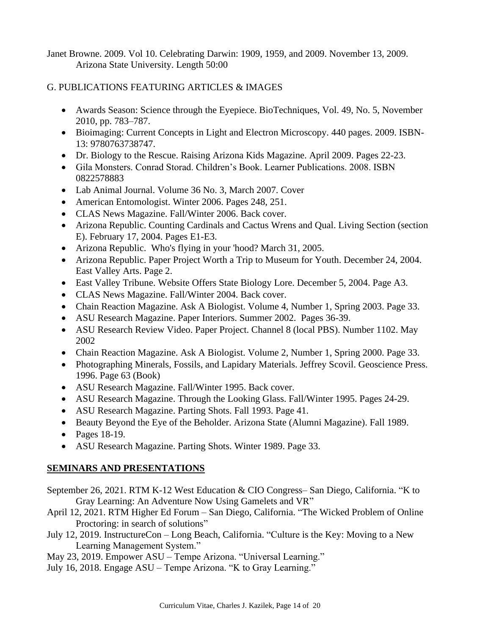Janet Browne. 2009. Vol 10. Celebrating Darwin: 1909, 1959, and 2009. November 13, 2009. Arizona State University. Length 50:00

# G. PUBLICATIONS FEATURING ARTICLES & IMAGES

- Awards Season: Science through the Eyepiece. BioTechniques, Vol. 49, No. 5, November 2010, pp. 783–787.
- Bioimaging: Current Concepts in Light and Electron Microscopy. 440 pages. 2009. ISBN-13: 9780763738747.
- Dr. Biology to the Rescue. Raising Arizona Kids Magazine. April 2009. Pages 22-23.
- Gila Monsters. Conrad Storad. Children's Book. Learner Publications. 2008. ISBN 0822578883
- Lab Animal Journal. Volume 36 No. 3, March 2007. Cover
- American Entomologist. Winter 2006. Pages 248, 251.
- CLAS News Magazine. Fall/Winter 2006. Back cover.
- Arizona Republic. Counting Cardinals and Cactus Wrens and Qual. Living Section (section E). February 17, 2004. Pages E1-E3.
- Arizona Republic. Who's flying in your 'hood? March 31, 2005.
- Arizona Republic. Paper Project Worth a Trip to Museum for Youth. December 24, 2004. East Valley Arts. Page 2.
- East Valley Tribune. Website Offers State Biology Lore. December 5, 2004. Page A3.
- CLAS News Magazine. Fall/Winter 2004. Back cover.
- Chain Reaction Magazine. Ask A Biologist. Volume 4, Number 1, Spring 2003. Page 33.
- ASU Research Magazine. Paper Interiors. Summer 2002. Pages 36-39.
- ASU Research Review Video. Paper Project. Channel 8 (local PBS). Number 1102. May 2002
- Chain Reaction Magazine. Ask A Biologist. Volume 2, Number 1, Spring 2000. Page 33.
- Photographing Minerals, Fossils, and Lapidary Materials. Jeffrey Scovil. Geoscience Press. 1996. Page 63 (Book)
- ASU Research Magazine. Fall/Winter 1995. Back cover.
- ASU Research Magazine. Through the Looking Glass. Fall/Winter 1995. Pages 24-29.
- ASU Research Magazine. Parting Shots. Fall 1993. Page 41.
- Beauty Beyond the Eye of the Beholder. Arizona State (Alumni Magazine). Fall 1989.
- Pages 18-19.
- ASU Research Magazine. Parting Shots. Winter 1989. Page 33.

# **SEMINARS AND PRESENTATIONS**

- September 26, 2021. RTM K-12 West Education & CIO Congress– San Diego, California. "K to Gray Learning: An Adventure Now Using Gamelets and VR"
- April 12, 2021. RTM Higher Ed Forum San Diego, California. "The Wicked Problem of Online Proctoring: in search of solutions"
- July 12, 2019. InstructureCon Long Beach, California. "Culture is the Key: Moving to a New Learning Management System."
- May 23, 2019. Empower ASU Tempe Arizona. "Universal Learning."
- July 16, 2018. Engage ASU Tempe Arizona. "K to Gray Learning."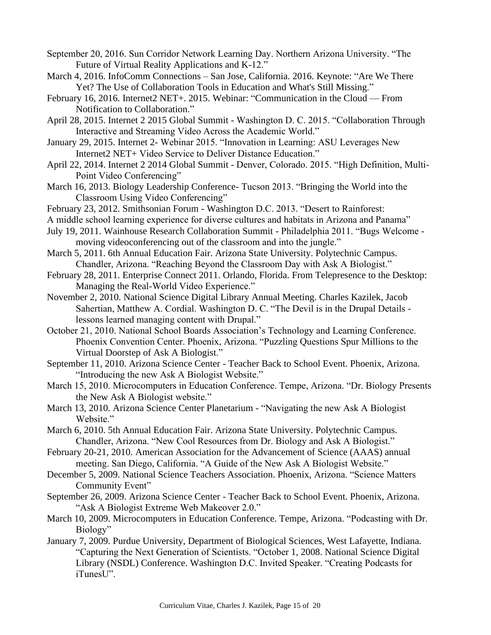September 20, 2016. Sun Corridor Network Learning Day. Northern Arizona University. "The Future of Virtual Reality Applications and K-12."

- March 4, 2016. InfoComm Connections San Jose, California. 2016. Keynote: "Are We There Yet? The Use of Collaboration Tools in Education and What's Still Missing."
- February 16, 2016. Internet2 NET+. 2015. Webinar: "Communication in the Cloud From Notification to Collaboration."
- April 28, 2015. Internet 2 2015 Global Summit Washington D. C. 2015. "Collaboration Through Interactive and Streaming Video Across the Academic World."
- January 29, 2015. Internet 2- Webinar 2015. "Innovation in Learning: ASU Leverages New Internet2 NET+ Video Service to Deliver Distance Education."
- April 22, 2014. Internet 2 2014 Global Summit Denver, Colorado. 2015. "High Definition, Multi-Point Video Conferencing"
- March 16, 2013. Biology Leadership Conference- Tucson 2013. "Bringing the World into the Classroom Using Video Conferencing"
- February 23, 2012. Smithsonian Forum Washington D.C. 2013. "Desert to Rainforest:
- A middle school learning experience for diverse cultures and habitats in Arizona and Panama"
- July 19, 2011. Wainhouse Research Collaboration Summit Philadelphia 2011. "Bugs Welcome moving videoconferencing out of the classroom and into the jungle."
- March 5, 2011. 6th Annual Education Fair. Arizona State University. Polytechnic Campus. Chandler, Arizona. "Reaching Beyond the Classroom Day with Ask A Biologist."
- February 28, 2011. Enterprise Connect 2011. Orlando, Florida. From Telepresence to the Desktop: Managing the Real-World Video Experience."
- November 2, 2010. National Science Digital Library Annual Meeting. Charles Kazilek, Jacob Sahertian, Matthew A. Cordial. Washington D. C. "The Devil is in the Drupal Details lessons learned managing content with Drupal."
- October 21, 2010. National School Boards Association's Technology and Learning Conference. Phoenix Convention Center. Phoenix, Arizona. "Puzzling Questions Spur Millions to the Virtual Doorstep of Ask A Biologist."
- September 11, 2010. Arizona Science Center Teacher Back to School Event. Phoenix, Arizona. "Introducing the new Ask A Biologist Website."
- March 15, 2010. Microcomputers in Education Conference. Tempe, Arizona. "Dr. Biology Presents the New Ask A Biologist website."
- March 13, 2010. Arizona Science Center Planetarium "Navigating the new Ask A Biologist Website."
- March 6, 2010. 5th Annual Education Fair. Arizona State University. Polytechnic Campus. Chandler, Arizona. "New Cool Resources from Dr. Biology and Ask A Biologist."
- February 20-21, 2010. American Association for the Advancement of Science (AAAS) annual meeting. San Diego, California. "A Guide of the New Ask A Biologist Website."
- December 5, 2009. National Science Teachers Association. Phoenix, Arizona. "Science Matters Community Event"
- September 26, 2009. Arizona Science Center Teacher Back to School Event. Phoenix, Arizona. "Ask A Biologist Extreme Web Makeover 2.0."
- March 10, 2009. Microcomputers in Education Conference. Tempe, Arizona. "Podcasting with Dr. Biology"
- January 7, 2009. Purdue University, Department of Biological Sciences, West Lafayette, Indiana. "Capturing the Next Generation of Scientists. "October 1, 2008. National Science Digital Library (NSDL) Conference. Washington D.C. Invited Speaker. "Creating Podcasts for iTunesU".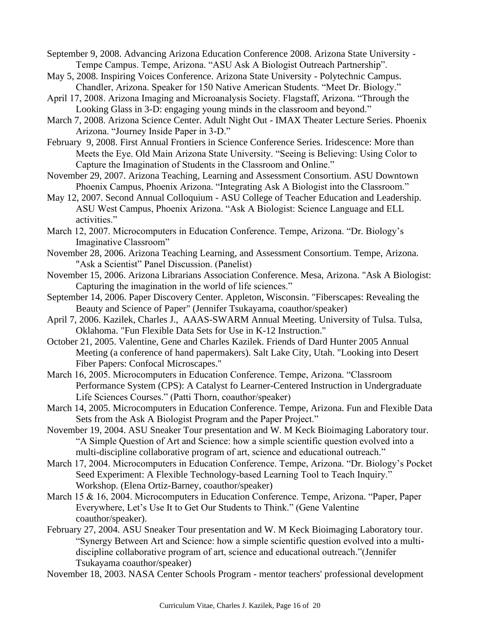- September 9, 2008. Advancing Arizona Education Conference 2008. Arizona State University Tempe Campus. Tempe, Arizona. "ASU Ask A Biologist Outreach Partnership".
- May 5, 2008. Inspiring Voices Conference. Arizona State University Polytechnic Campus. Chandler, Arizona. Speaker for 150 Native American Students. "Meet Dr. Biology."
- April 17, 2008. Arizona Imaging and Microanalysis Society. Flagstaff, Arizona. "Through the Looking Glass in 3-D: engaging young minds in the classroom and beyond."
- March 7, 2008. Arizona Science Center. Adult Night Out IMAX Theater Lecture Series. Phoenix Arizona. "Journey Inside Paper in 3-D."
- February 9, 2008. First Annual Frontiers in Science Conference Series. Iridescence: More than Meets the Eye. Old Main Arizona State University. "Seeing is Believing: Using Color to Capture the Imagination of Students in the Classroom and Online."
- November 29, 2007. Arizona Teaching, Learning and Assessment Consortium. ASU Downtown Phoenix Campus, Phoenix Arizona. "Integrating Ask A Biologist into the Classroom."
- May 12, 2007. Second Annual Colloquium ASU College of Teacher Education and Leadership. ASU West Campus, Phoenix Arizona. "Ask A Biologist: Science Language and ELL activities."
- March 12, 2007. Microcomputers in Education Conference. Tempe, Arizona. "Dr. Biology's Imaginative Classroom"
- November 28, 2006. Arizona Teaching Learning, and Assessment Consortium. Tempe, Arizona. "Ask a Scientist" Panel Discussion. (Panelist)
- November 15, 2006. Arizona Librarians Association Conference. Mesa, Arizona. "Ask A Biologist: Capturing the imagination in the world of life sciences."
- September 14, 2006. Paper Discovery Center. Appleton, Wisconsin. "Fiberscapes: Revealing the Beauty and Science of Paper" (Jennifer Tsukayama, coauthor/speaker)
- April 7, 2006. Kazilek, Charles J., AAAS-SWARM Annual Meeting. University of Tulsa. Tulsa, Oklahoma. "Fun Flexible Data Sets for Use in K-12 Instruction."
- October 21, 2005. Valentine, Gene and Charles Kazilek. Friends of Dard Hunter 2005 Annual Meeting (a conference of hand papermakers). Salt Lake City, Utah. "Looking into Desert Fiber Papers: Confocal Microscapes."
- March 16, 2005. Microcomputers in Education Conference. Tempe, Arizona. "Classroom Performance System (CPS): A Catalyst fo Learner-Centered Instruction in Undergraduate Life Sciences Courses." (Patti Thorn, coauthor/speaker)
- March 14, 2005. Microcomputers in Education Conference. Tempe, Arizona. Fun and Flexible Data Sets from the Ask A Biologist Program and the Paper Project."
- November 19, 2004. ASU Sneaker Tour presentation and W. M Keck Bioimaging Laboratory tour. "A Simple Question of Art and Science: how a simple scientific question evolved into a multi-discipline collaborative program of art, science and educational outreach."
- March 17, 2004. Microcomputers in Education Conference. Tempe, Arizona. "Dr. Biology's Pocket Seed Experiment: A Flexible Technology-based Learning Tool to Teach Inquiry." Workshop. (Elena Ortiz-Barney, coauthor/speaker)
- March 15 & 16, 2004. Microcomputers in Education Conference. Tempe, Arizona. "Paper, Paper Everywhere, Let's Use It to Get Our Students to Think." (Gene Valentine coauthor/speaker).
- February 27, 2004. ASU Sneaker Tour presentation and W. M Keck Bioimaging Laboratory tour. "Synergy Between Art and Science: how a simple scientific question evolved into a multidiscipline collaborative program of art, science and educational outreach."(Jennifer Tsukayama coauthor/speaker)
- November 18, 2003. NASA Center Schools Program mentor teachers' professional development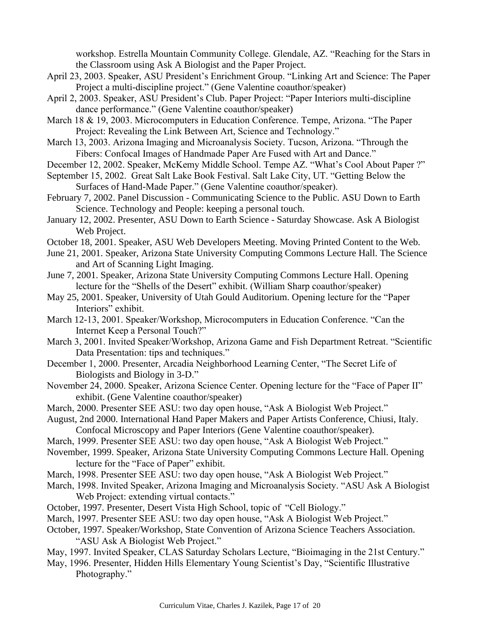workshop. Estrella Mountain Community College. Glendale, AZ. "Reaching for the Stars in the Classroom using Ask A Biologist and the Paper Project.

- April 23, 2003. Speaker, ASU President's Enrichment Group. "Linking Art and Science: The Paper Project a multi-discipline project." (Gene Valentine coauthor/speaker)
- April 2, 2003. Speaker, ASU President's Club. Paper Project: "Paper Interiors multi-discipline dance performance." (Gene Valentine coauthor/speaker)
- March 18 & 19, 2003. Microcomputers in Education Conference. Tempe, Arizona. "The Paper Project: Revealing the Link Between Art, Science and Technology."
- March 13, 2003. Arizona Imaging and Microanalysis Society. Tucson, Arizona. "Through the Fibers: Confocal Images of Handmade Paper Are Fused with Art and Dance."
- December 12, 2002. Speaker, McKemy Middle School. Tempe AZ. "What's Cool About Paper ?"
- September 15, 2002. Great Salt Lake Book Festival. Salt Lake City, UT. "Getting Below the Surfaces of Hand-Made Paper." (Gene Valentine coauthor/speaker).
- February 7, 2002. Panel Discussion Communicating Science to the Public. ASU Down to Earth Science. Technology and People: keeping a personal touch.
- January 12, 2002. Presenter, ASU Down to Earth Science Saturday Showcase. Ask A Biologist Web Project.
- October 18, 2001. Speaker, ASU Web Developers Meeting. Moving Printed Content to the Web.
- June 21, 2001. Speaker, Arizona State University Computing Commons Lecture Hall. The Science and Art of Scanning Light Imaging.
- June 7, 2001. Speaker, Arizona State University Computing Commons Lecture Hall. Opening lecture for the "Shells of the Desert" exhibit. (William Sharp coauthor/speaker)
- May 25, 2001. Speaker, University of Utah Gould Auditorium. Opening lecture for the "Paper Interiors" exhibit.
- March 12-13, 2001. Speaker/Workshop, Microcomputers in Education Conference. "Can the Internet Keep a Personal Touch?"
- March 3, 2001. Invited Speaker/Workshop, Arizona Game and Fish Department Retreat. "Scientific Data Presentation: tips and techniques."
- December 1, 2000. Presenter, Arcadia Neighborhood Learning Center, "The Secret Life of Biologists and Biology in 3-D."
- November 24, 2000. Speaker, Arizona Science Center. Opening lecture for the "Face of Paper II" exhibit. (Gene Valentine coauthor/speaker)
- March, 2000. Presenter SEE ASU: two day open house, "Ask A Biologist Web Project."
- August, 2nd 2000. International Hand Paper Makers and Paper Artists Conference, Chiusi, Italy. Confocal Microscopy and Paper Interiors (Gene Valentine coauthor/speaker).
- March, 1999. Presenter SEE ASU: two day open house, "Ask A Biologist Web Project."
- November, 1999. Speaker, Arizona State University Computing Commons Lecture Hall. Opening lecture for the "Face of Paper" exhibit.
- March, 1998. Presenter SEE ASU: two day open house, "Ask A Biologist Web Project."
- March, 1998. Invited Speaker, Arizona Imaging and Microanalysis Society. "ASU Ask A Biologist Web Project: extending virtual contacts."
- October, 1997. Presenter, Desert Vista High School, topic of "Cell Biology."
- March, 1997. Presenter SEE ASU: two day open house, "Ask A Biologist Web Project."
- October, 1997. Speaker/Workshop, State Convention of Arizona Science Teachers Association. "ASU Ask A Biologist Web Project."
- May, 1997. Invited Speaker, CLAS Saturday Scholars Lecture, "Bioimaging in the 21st Century."
- May, 1996. Presenter, Hidden Hills Elementary Young Scientist's Day, "Scientific Illustrative Photography."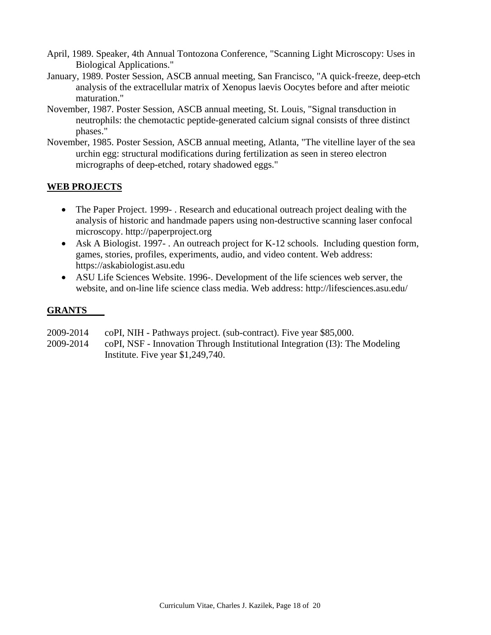- April, 1989. Speaker, 4th Annual Tontozona Conference, "Scanning Light Microscopy: Uses in Biological Applications."
- January, 1989. Poster Session, ASCB annual meeting, San Francisco, "A quick-freeze, deep-etch analysis of the extracellular matrix of Xenopus laevis Oocytes before and after meiotic maturation."
- November, 1987. Poster Session, ASCB annual meeting, St. Louis, "Signal transduction in neutrophils: the chemotactic peptide-generated calcium signal consists of three distinct phases."
- November, 1985. Poster Session, ASCB annual meeting, Atlanta, "The vitelline layer of the sea urchin egg: structural modifications during fertilization as seen in stereo electron micrographs of deep-etched, rotary shadowed eggs."

# **WEB PROJECTS**

- The Paper Project. 1999 . Research and educational outreach project dealing with the analysis of historic and handmade papers using non-destructive scanning laser confocal microscopy. http://paperproject.org
- Ask A Biologist. 1997- . An outreach project for K-12 schools. Including question form, games, stories, profiles, experiments, audio, and video content. Web address: https://askabiologist.asu.edu
- ASU Life Sciences Website. 1996-. Development of the life sciences web server, the website, and on-line life science class media. Web address: http://lifesciences.asu.edu/

## **GRANTS**

- 2009-2014 coPI, NIH Pathways project. (sub-contract). Five year \$85,000.
- 2009-2014 coPI, NSF Innovation Through Institutional Integration (I3): The Modeling Institute. Five year \$1,249,740.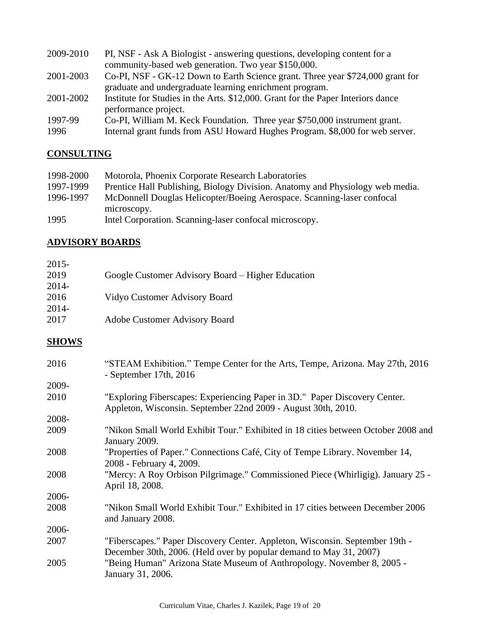| 2009-2010 | PI, NSF - Ask A Biologist - answering questions, developing content for a        |
|-----------|----------------------------------------------------------------------------------|
|           | community-based web generation. Two year \$150,000.                              |
| 2001-2003 | Co-PI, NSF - GK-12 Down to Earth Science grant. Three year \$724,000 grant for   |
|           | graduate and undergraduate learning enrichment program.                          |
| 2001-2002 | Institute for Studies in the Arts. \$12,000. Grant for the Paper Interiors dance |
|           | performance project.                                                             |
| 1997-99   | Co-PI, William M. Keck Foundation. Three year \$750,000 instrument grant.        |
| 1996      | Internal grant funds from ASU Howard Hughes Program. \$8,000 for web server.     |

# **CONSULTING**

| 1998-2000 | Motorola, Phoenix Corporate Research Laboratories                             |
|-----------|-------------------------------------------------------------------------------|
| 1997-1999 | Prentice Hall Publishing, Biology Division. Anatomy and Physiology web media. |
| 1996-1997 | McDonnell Douglas Helicopter/Boeing Aerospace. Scanning-laser confocal        |
|           | microscopy.                                                                   |
| 1995      | Intel Corporation. Scanning-laser confocal microscopy.                        |

# **ADVISORY BOARDS**

| $2015 -$     |                                                                                                                                                    |
|--------------|----------------------------------------------------------------------------------------------------------------------------------------------------|
| 2019         | Google Customer Advisory Board – Higher Education                                                                                                  |
| 2014-        |                                                                                                                                                    |
| 2016         | Vidyo Customer Advisory Board                                                                                                                      |
| 2014-        |                                                                                                                                                    |
| 2017         | Adobe Customer Advisory Board                                                                                                                      |
| <b>SHOWS</b> |                                                                                                                                                    |
| 2016         | "STEAM Exhibition." Tempe Center for the Arts, Tempe, Arizona. May 27th, 2016<br>- September 17th, $2016$                                          |
| 2009-        |                                                                                                                                                    |
| 2010         | "Exploring Fiberscapes: Experiencing Paper in 3D." Paper Discovery Center.<br>Appleton, Wisconsin. September 22nd 2009 - August 30th, 2010.        |
| 2008-        |                                                                                                                                                    |
| 2009         | "Nikon Small World Exhibit Tour." Exhibited in 18 cities between October 2008 and<br>January 2009.                                                 |
| 2008         | "Properties of Paper." Connections Café, City of Tempe Library. November 14,                                                                       |
|              | 2008 - February 4, 2009.                                                                                                                           |
| 2008         | "Mercy: A Roy Orbison Pilgrimage." Commissioned Piece (Whirligig). January 25 -<br>April 18, 2008.                                                 |
| 2006-        |                                                                                                                                                    |
| 2008         | "Nikon Small World Exhibit Tour." Exhibited in 17 cities between December 2006<br>and January 2008.                                                |
| 2006-        |                                                                                                                                                    |
| 2007         | "Fiberscapes." Paper Discovery Center. Appleton, Wisconsin. September 19th -<br>December 30th, 2006. (Held over by popular demand to May 31, 2007) |
| 2005         | "Being Human" Arizona State Museum of Anthropology. November 8, 2005 -<br>January 31, 2006.                                                        |